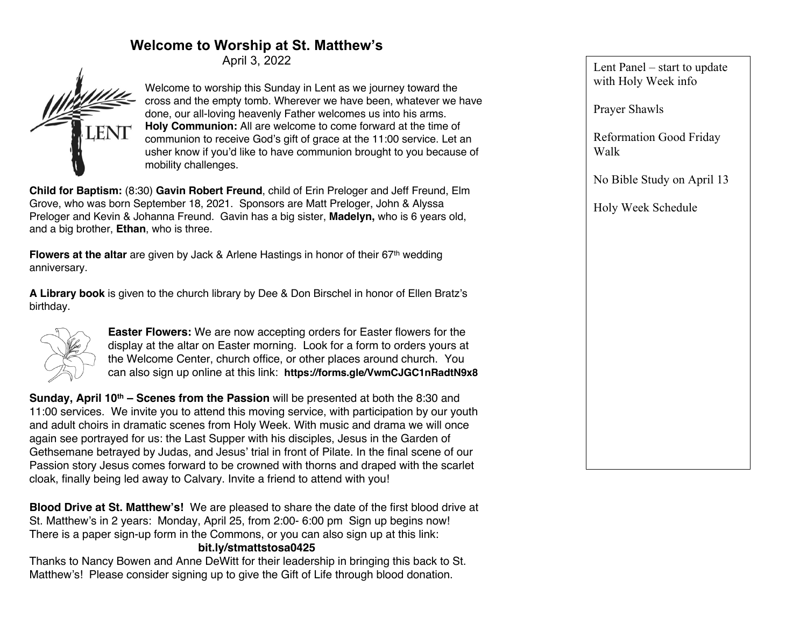## **Welcome to Worship at St. Matthew's**

April 3, 2022



Welcome to worship this Sunday in Lent as we journey toward the cross and the empty tomb. Wherever we have been, whatever we have done, our all-loving heavenly Father welcomes us into his arms. **Holy Communion:** All are welcome to come forward at the time of communion to receive God's gift of grace at the 11:00 service. Let an usher know if you'd like to have communion brought to you because of mobility challenges.

**Child for Baptism:** (8:30) **Gavin Robert Freund**, child of Erin Preloger and Jeff Freund, Elm Grove, who was born September 18, 2021. Sponsors are Matt Preloger, John & Alyssa Preloger and Kevin & Johanna Freund. Gavin has a big sister, **Madelyn,** who is 6 years old, and a big brother, **Ethan**, who is three.

**Flowers at the altar** are given by Jack & Arlene Hastings in honor of their 67th wedding anniversary.

**A Library book** is given to the church library by Dee & Don Birschel in honor of Ellen Bratz's birthday.



**Easter Flowers:** We are now accepting orders for Easter flowers for the display at the altar on Easter morning. Look for a form to orders yours at the Welcome Center, church office, or other places around church. You can also sign up online at this link: **https://forms.gle/VwmCJGC1nRadtN9x8**

**Sunday, April 10th – Scenes from the Passion** will be presented at both the 8:30 and 11:00 services. We invite you to attend this moving service, with participation by our youth and adult choirs in dramatic scenes from Holy Week. With music and drama we will once again see portrayed for us: the Last Supper with his disciples, Jesus in the Garden of Gethsemane betrayed by Judas, and Jesus' trial in front of Pilate. In the final scene of our Passion story Jesus comes forward to be crowned with thorns and draped with the scarlet cloak, finally being led away to Calvary. Invite a friend to attend with you!

**Blood Drive at St. Matthew's!** We are pleased to share the date of the first blood drive at St. Matthew's in 2 years: Monday, April 25, from 2:00- 6:00 pm Sign up begins now! There is a paper sign-up form in the Commons, or you can also sign up at this link: **bit.ly/stmattstosa0425**

Thanks to Nancy Bowen and Anne DeWitt for their leadership in bringing this back to St. Matthew's! Please consider signing up to give the Gift of Life through blood donation.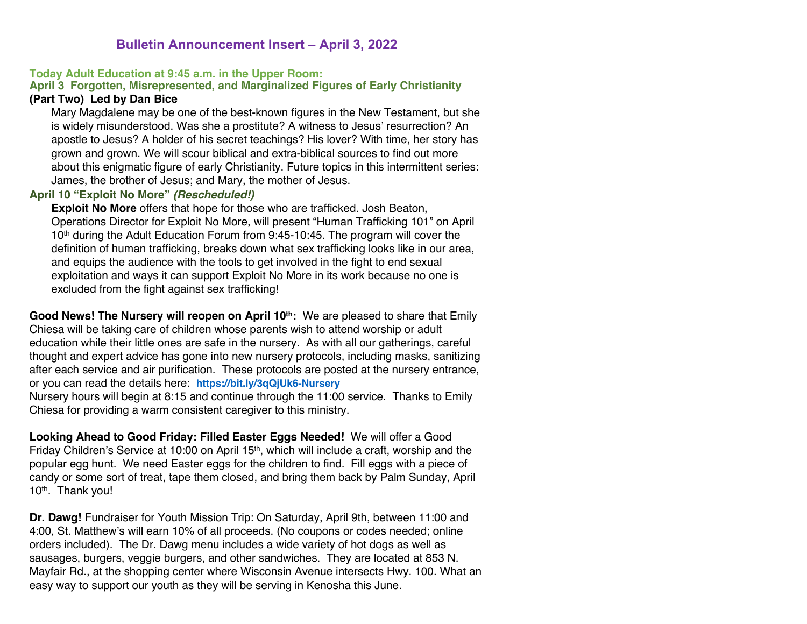### **Bulletin Announcement Insert – April 3, 2022**

### **Today Adult Education at 9:45 a.m. in the Upper Room:**

### **April 3 Forgotten, Misrepresented, and Marginalized Figures of Early Christianity**

### **(Part Two) Led by Dan Bice**

Mary Magdalene may be one of the best-known figures in the New Testament, but she is widely misunderstood. Was she a prostitute? A witness to Jesus' resurrection? An apostle to Jesus? A holder of his secret teachings? His lover? With time, her story has grown and grown. We will scour biblical and extra-biblical sources to find out more about this enigmatic figure of early Christianity. Future topics in this intermittent series: James, the brother of Jesus; and Mary, the mother of Jesus.

#### **April 10 "Exploit No More"** *(Rescheduled!)*

**Exploit No More** offers that hope for those who are trafficked. Josh Beaton, Operations Director for Exploit No More, will present "Human Trafficking 101" on April 10<sup>th</sup> during the Adult Education Forum from 9:45-10:45. The program will cover the definition of human trafficking, breaks down what sex trafficking looks like in our area, and equips the audience with the tools to get involved in the fight to end sexual exploitation and ways it can support Exploit No More in its work because no one is excluded from the fight against sex trafficking!

Good News! The Nursery will reopen on April 10<sup>th</sup>: We are pleased to share that Emily Chiesa will be taking care of children whose parents wish to attend worship or adult education while their little ones are safe in the nursery. As with all our gatherings, careful thought and expert advice has gone into new nursery protocols, including masks, sanitizing after each service and air purification. These protocols are posted at the nursery entrance, or you can read the details here: **https://bit.ly/3qQjUk6-Nursery**

Nursery hours will begin at 8:15 and continue through the 11:00 service. Thanks to Emily Chiesa for providing a warm consistent caregiver to this ministry.

**Looking Ahead to Good Friday: Filled Easter Eggs Needed!** We will offer a Good Friday Children's Service at 10:00 on April 15<sup>th</sup>, which will include a craft, worship and the popular egg hunt. We need Easter eggs for the children to find. Fill eggs with a piece of candy or some sort of treat, tape them closed, and bring them back by Palm Sunday, April 10th. Thank you!

**Dr. Dawg!** Fundraiser for Youth Mission Trip: On Saturday, April 9th, between 11:00 and 4:00, St. Matthew's will earn 10% of all proceeds. (No coupons or codes needed; online orders included). The Dr. Dawg menu includes a wide variety of hot dogs as well as sausages, burgers, veggie burgers, and other sandwiches. They are located at 853 N. Mayfair Rd., at the shopping center where Wisconsin Avenue intersects Hwy. 100. What an easy way to support our youth as they will be serving in Kenosha this June.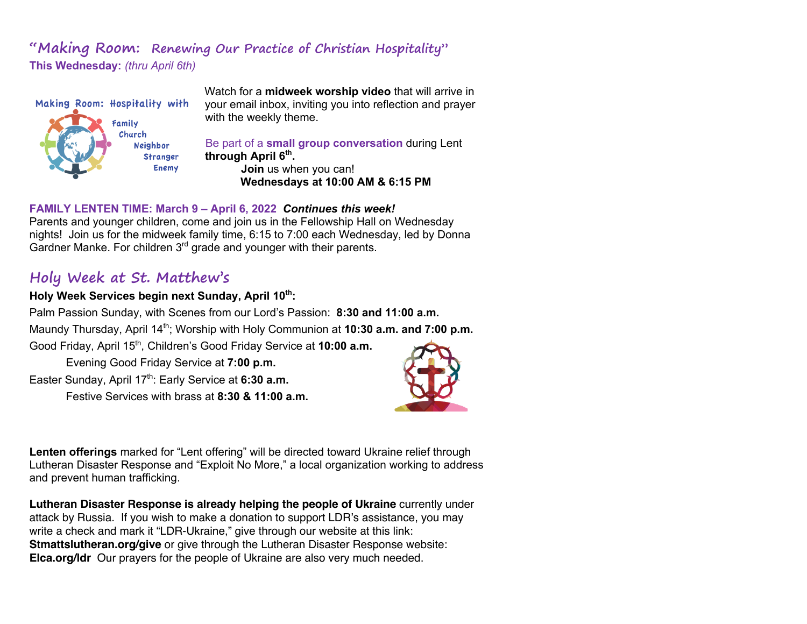## **"Making Room: Renewing Our Practice of Christian Hospitality" This Wednesday:** *(thru April 6th)*



Watch for a **midweek worship video** that will arrive in your email inbox, inviting you into reflection and prayer with the weekly theme.

Be part of a **small group conversation** during Lent through April 6<sup>th</sup>.

> **Join** us when you can! **Wednesdays at 10:00 AM & 6:15 PM**

### **FAMILY LENTEN TIME: March 9 – April 6, 2022** *Continues this week!*

Parents and younger children, come and join us in the Fellowship Hall on Wednesday nights! Join us for the midweek family time, 6:15 to 7:00 each Wednesday, led by Donna Gardner Manke. For children 3<sup>rd</sup> grade and younger with their parents.

# **Holy Week at St. Matthew's**

### Holy Week Services begin next Sunday, April 10<sup>th</sup>:

Palm Passion Sunday, with Scenes from our Lord's Passion: **8:30 and 11:00 a.m.** Maundy Thursday, April 14<sup>th</sup>; Worship with Holy Communion at **10:30 a.m. and 7:00 p.m.** Good Friday, April 15th, Children's Good Friday Service at **10:00 a.m.**

Evening Good Friday Service at **7:00 p.m.**

Easter Sunday, April 17<sup>th</sup>: Early Service at 6:30 a.m.

Festive Services with brass at **8:30 & 11:00 a.m.**



**Lenten offerings** marked for "Lent offering" will be directed toward Ukraine relief through Lutheran Disaster Response and "Exploit No More," a local organization working to address and prevent human trafficking.

**Lutheran Disaster Response is already helping the people of Ukraine** currently under attack by Russia. If you wish to make a donation to support LDR's assistance, you may write a check and mark it "LDR-Ukraine," give through our website at this link: **Stmattslutheran.org/give** or give through the Lutheran Disaster Response website: **Elca.org/ldr** Our prayers for the people of Ukraine are also very much needed.